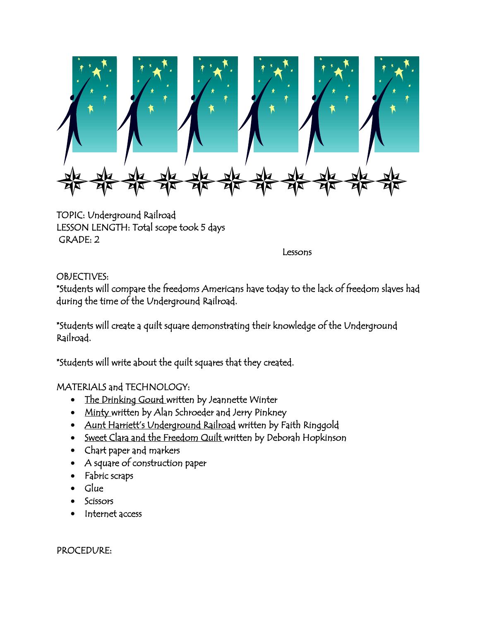

TOPIC: Underground Railroad LESSON LENGTH: Total scope took 5 days GRADE: 2

Lessons

## OBJECTIVES:

\*Students will compare the freedoms Americans have today to the lack of freedom slaves had during the time of the Underground Railroad.

\*Students will create a quilt square demonstrating their knowledge of the Underground Railroad.

\*Students will write about the quilt squares that they created.

MATERIALS and TECHNOLOGY:

- The Drinking Gourd written by Jeannette Winter
- Minty written by Alan Schroeder and Jerry Pinkney
- Aunt Harriett's Underground Railroad written by Faith Ringgold
- Sweet Clara and the Freedom Quilt written by Deborah Hopkinson
- Chart paper and markers
- A square of construction paper
- Fabric scraps
- Glue
- **Scissors**
- Internet access

PROCEDURE: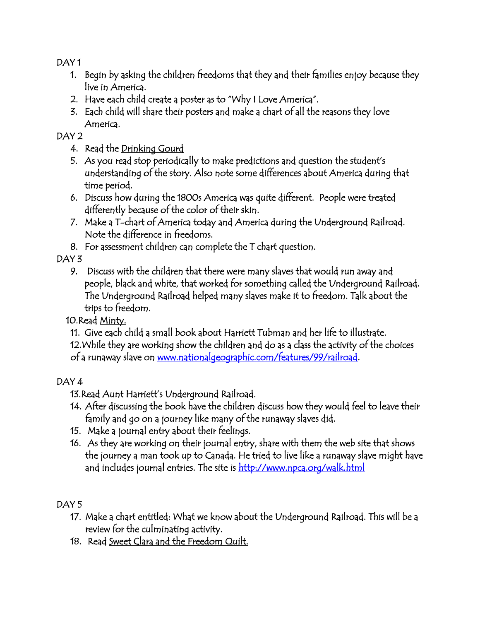DAY 1

- 1. Begin by asking the children freedoms that they and their families enjoy because they live in America.
- 2. Have each child create a poster as to "Why I Love America".
- 3. Each child will share their posters and make a chart of all the reasons they love America.

DAY<sub>2</sub>

- 4. Read the Drinking Gourd
- 5. As you read stop periodically to make predictions and question the student's understanding of the story. Also note some differences about America during that time period.
- 6. Discuss how during the 1800s America was quite different. People were treated differently because of the color of their skin.
- 7. Make a T-chart of America today and America during the Underground Railroad. Note the difference in freedoms.
- 8. For assessment children can complete the T chart question.

DAY<sub>3</sub>

9. Discuss with the children that there were many slaves that would run away and people, black and white, that worked for something called the Underground Railroad. The Underground Railroad helped many slaves make it to freedom. Talk about the trips to freedom.

10.Read Minty.

11. Give each child a small book about Harriett Tubman and her life to illustrate.

12.While they are working show the children and do as a class the activity of the choices of a runaway slave on [www.nationalgeographic.com/features/99/railroad.](http://www.nationalgeographic.com/features/99/railroad)

## DAY 4

13.Read Aunt Harriett's Underground Railroad.

- 14. After discussing the book have the children discuss how they would feel to leave their family and go on a journey like many of the runaway slaves did.
- 15. Make a journal entry about their feelings.
- 16. As they are working on their journal entry, share with them the web site that shows the journey a man took up to Canada. He tried to live like a runaway slave might have and includes journal entries. The site is http://www.npca.org/walk.html

DAY 5

- 17. Make a chart entitled: What we know about the Underground Railroad. This will be a review for the culminating activity.
- 18. Read Sweet Clara and the Freedom Quilt.